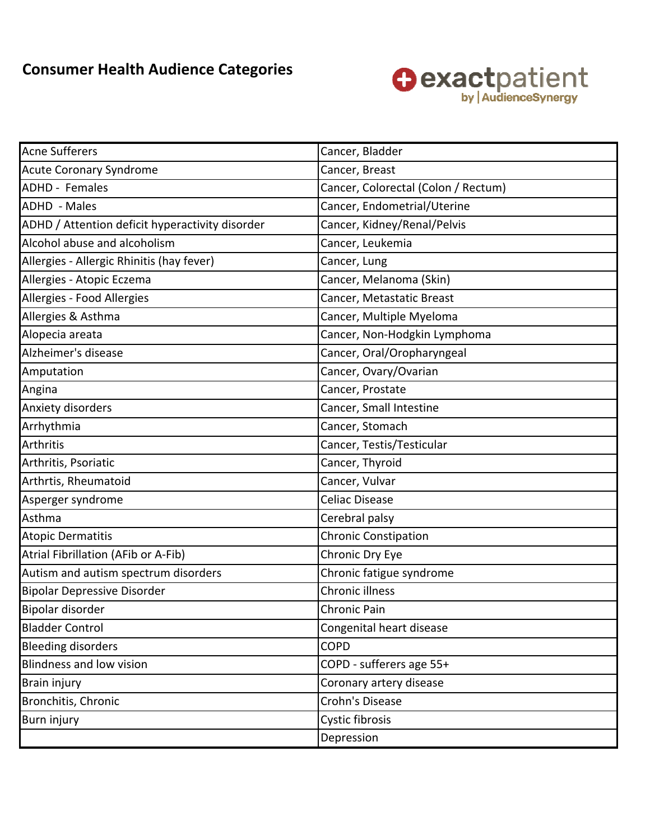## **Consumer Health Audience Categories**



| <b>Acne Sufferers</b>                           | Cancer, Bladder                     |
|-------------------------------------------------|-------------------------------------|
| <b>Acute Coronary Syndrome</b>                  | Cancer, Breast                      |
| <b>ADHD</b> - Females                           | Cancer, Colorectal (Colon / Rectum) |
| <b>ADHD</b> - Males                             | Cancer, Endometrial/Uterine         |
| ADHD / Attention deficit hyperactivity disorder | Cancer, Kidney/Renal/Pelvis         |
| Alcohol abuse and alcoholism                    | Cancer, Leukemia                    |
| Allergies - Allergic Rhinitis (hay fever)       | Cancer, Lung                        |
| Allergies - Atopic Eczema                       | Cancer, Melanoma (Skin)             |
| Allergies - Food Allergies                      | Cancer, Metastatic Breast           |
| Allergies & Asthma                              | Cancer, Multiple Myeloma            |
| Alopecia areata                                 | Cancer, Non-Hodgkin Lymphoma        |
| Alzheimer's disease                             | Cancer, Oral/Oropharyngeal          |
| Amputation                                      | Cancer, Ovary/Ovarian               |
| Angina                                          | Cancer, Prostate                    |
| Anxiety disorders                               | Cancer, Small Intestine             |
| Arrhythmia                                      | Cancer, Stomach                     |
| Arthritis                                       | Cancer, Testis/Testicular           |
| Arthritis, Psoriatic                            | Cancer, Thyroid                     |
| Arthrtis, Rheumatoid                            | Cancer, Vulvar                      |
| Asperger syndrome                               | <b>Celiac Disease</b>               |
| Asthma                                          | Cerebral palsy                      |
| <b>Atopic Dermatitis</b>                        | <b>Chronic Constipation</b>         |
| Atrial Fibrillation (AFib or A-Fib)             | Chronic Dry Eye                     |
| Autism and autism spectrum disorders            | Chronic fatigue syndrome            |
| <b>Bipolar Depressive Disorder</b>              | Chronic illness                     |
| Bipolar disorder                                | Chronic Pain                        |
| <b>Bladder Control</b>                          | Congenital heart disease            |
| <b>Bleeding disorders</b>                       | <b>COPD</b>                         |
| <b>Blindness and low vision</b>                 | COPD - sufferers age 55+            |
| <b>Brain injury</b>                             | Coronary artery disease             |
| Bronchitis, Chronic                             | Crohn's Disease                     |
| <b>Burn injury</b>                              | Cystic fibrosis                     |
|                                                 | Depression                          |